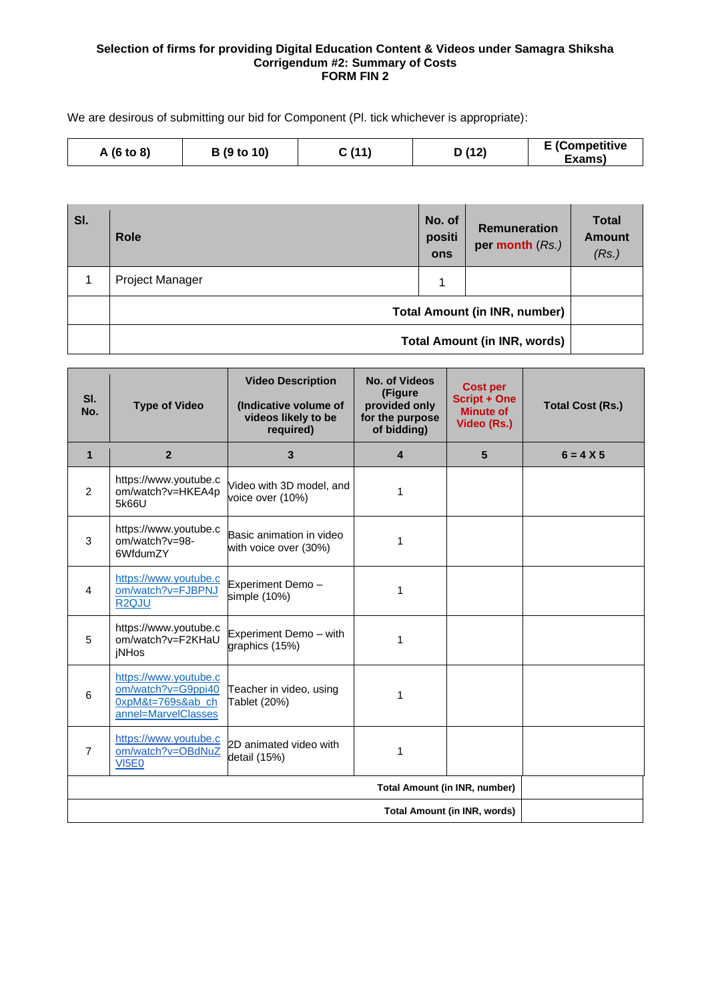#### **Selection of firms for providing Digital Education Content & Videos under Samagra Shiksha Corrigendum #2: Summary of Costs FORM FIN 2**

We are desirous of submitting our bid for Component (Pl. tick whichever is appropriate):

| ፡ (11<br><b>B</b> (9 to 10)<br>A(6 to 8) | ) (12) | <b>E</b> (Competitive<br>Exams) |
|------------------------------------------|--------|---------------------------------|
|------------------------------------------|--------|---------------------------------|

| SI. | <b>Role</b>                          | No. of<br>positi<br>ons | <b>Remuneration</b><br>per month (Rs.) | <b>Total</b><br><b>Amount</b><br>(Rs.) |
|-----|--------------------------------------|-------------------------|----------------------------------------|----------------------------------------|
|     | <b>Project Manager</b>               | 4                       |                                        |                                        |
|     | <b>Total Amount (in INR, number)</b> |                         |                                        |                                        |
|     | <b>Total Amount (in INR, words)</b>  |                         |                                        |                                        |

| SI.<br>No.                          | <b>Type of Video</b>                                                                                          | <b>Video Description</b><br>(Indicative volume of<br>videos likely to be<br>required) | <b>No. of Videos</b><br>(Figure<br>provided only<br>for the purpose<br>of bidding) | <b>Cost per</b><br><b>Script + One</b><br><b>Minute of</b><br>Video (Rs.) | <b>Total Cost (Rs.)</b> |
|-------------------------------------|---------------------------------------------------------------------------------------------------------------|---------------------------------------------------------------------------------------|------------------------------------------------------------------------------------|---------------------------------------------------------------------------|-------------------------|
| $\mathbf{1}$                        | $\overline{2}$                                                                                                | 3                                                                                     | $\overline{\mathbf{4}}$                                                            | 5                                                                         | $6 = 4 X 5$             |
| 2                                   | https://www.youtube.c<br>om/watch?v=HKEA4p<br>5k66U                                                           | Video with 3D model, and<br>voice over (10%)                                          | 1                                                                                  |                                                                           |                         |
| 3                                   | https://www.youtube.c<br>Basic animation in video<br>om/watch?v=98-<br>1<br>with voice over (30%)<br>6WfdumZY |                                                                                       |                                                                                    |                                                                           |                         |
| 4                                   | https://www.youtube.c<br>om/watch?v=FJBPNJ<br>R <sub>2QJU</sub>                                               | Experiment Demo-<br>simple (10%)                                                      | 1                                                                                  |                                                                           |                         |
| 5                                   | https://www.youtube.c<br>om/watch?v=F2KHaU<br><b>iNHos</b>                                                    | Experiment Demo - with<br>graphics (15%)                                              | 1                                                                                  |                                                                           |                         |
| 6                                   | https://www.youtube.c<br>om/watch?v=G9ppi40<br>0xpM&t=769s&ab_ch<br>annel=MarvelClasses                       | Teacher in video, using<br>Tablet (20%)                                               | 1                                                                                  |                                                                           |                         |
| $\overline{7}$                      | https://www.youtube.c<br>om/watch?v=OBdNuZ<br><b>VI5E0</b>                                                    | 2D animated video with<br>detail (15%)                                                | 1                                                                                  |                                                                           |                         |
|                                     | <b>Total Amount (in INR, number)</b>                                                                          |                                                                                       |                                                                                    |                                                                           |                         |
| <b>Total Amount (in INR, words)</b> |                                                                                                               |                                                                                       |                                                                                    |                                                                           |                         |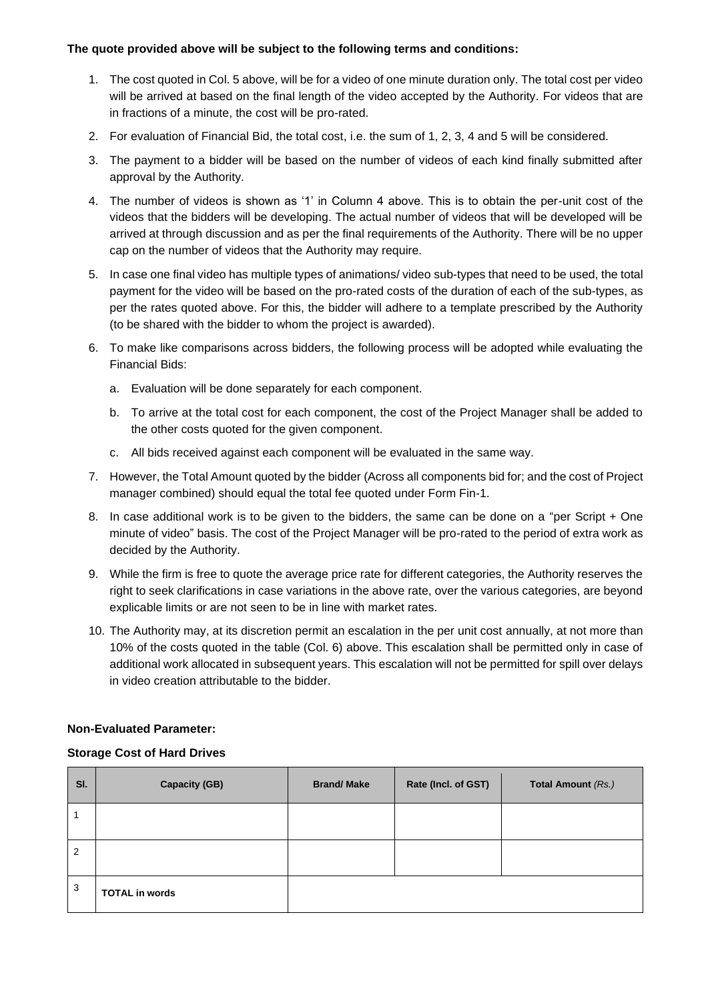## **The quote provided above will be subject to the following terms and conditions:**

- 1. The cost quoted in Col. 5 above, will be for a video of one minute duration only. The total cost per video will be arrived at based on the final length of the video accepted by the Authority. For videos that are in fractions of a minute, the cost will be pro-rated.
- 2. For evaluation of Financial Bid, the total cost, i.e. the sum of 1, 2, 3, 4 and 5 will be considered.
- 3. The payment to a bidder will be based on the number of videos of each kind finally submitted after approval by the Authority.
- 4. The number of videos is shown as '1' in Column 4 above. This is to obtain the per-unit cost of the videos that the bidders will be developing. The actual number of videos that will be developed will be arrived at through discussion and as per the final requirements of the Authority. There will be no upper cap on the number of videos that the Authority may require.
- 5. In case one final video has multiple types of animations/ video sub-types that need to be used, the total payment for the video will be based on the pro-rated costs of the duration of each of the sub-types, as per the rates quoted above. For this, the bidder will adhere to a template prescribed by the Authority (to be shared with the bidder to whom the project is awarded).
- 6. To make like comparisons across bidders, the following process will be adopted while evaluating the Financial Bids:
	- a. Evaluation will be done separately for each component.
	- b. To arrive at the total cost for each component, the cost of the Project Manager shall be added to the other costs quoted for the given component.
	- c. All bids received against each component will be evaluated in the same way.
- 7. However, the Total Amount quoted by the bidder (Across all components bid for; and the cost of Project manager combined) should equal the total fee quoted under Form Fin-1.
- 8. In case additional work is to be given to the bidders, the same can be done on a "per Script + One minute of video" basis. The cost of the Project Manager will be pro-rated to the period of extra work as decided by the Authority.
- 9. While the firm is free to quote the average price rate for different categories, the Authority reserves the right to seek clarifications in case variations in the above rate, over the various categories, are beyond explicable limits or are not seen to be in line with market rates.
- 10. The Authority may, at its discretion permit an escalation in the per unit cost annually, at not more than 10% of the costs quoted in the table (Col. 6) above. This escalation shall be permitted only in case of additional work allocated in subsequent years. This escalation will not be permitted for spill over delays in video creation attributable to the bidder.

# **Non-Evaluated Parameter:**

## **Storage Cost of Hard Drives**

| SI. | <b>Capacity (GB)</b>  | <b>Brand/Make</b> | Rate (Incl. of GST) | <b>Total Amount (Rs.)</b> |
|-----|-----------------------|-------------------|---------------------|---------------------------|
|     |                       |                   |                     |                           |
| 2   |                       |                   |                     |                           |
| 3   | <b>TOTAL in words</b> |                   |                     |                           |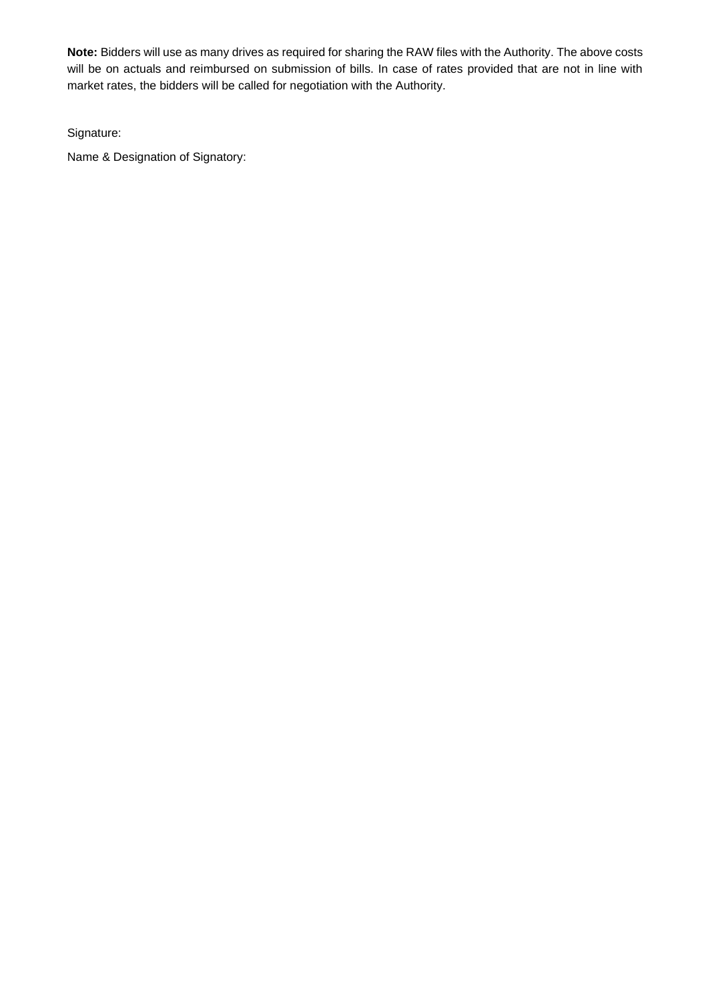**Note:** Bidders will use as many drives as required for sharing the RAW files with the Authority. The above costs will be on actuals and reimbursed on submission of bills. In case of rates provided that are not in line with market rates, the bidders will be called for negotiation with the Authority.

Signature:

Name & Designation of Signatory: